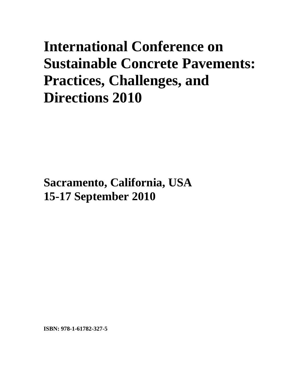# **International Conference on Sustainable Concrete Pavements: Practices, Challenges, and Directions 2010**

**Sacramento, California, USA 15-17 September 2010**

**ISBN: 978-1-61782-327-5**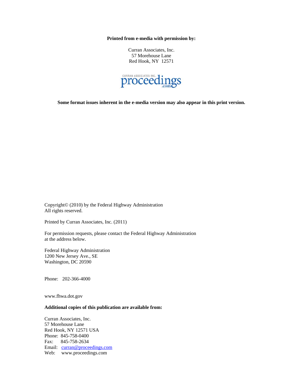**Printed from e-media with permission by:** 

Curran Associates, Inc. 57 Morehouse Lane Red Hook, NY 12571



**Some format issues inherent in the e-media version may also appear in this print version.** 

Copyright© (2010) by the Federal Highway Administration All rights reserved.

Printed by Curran Associates, Inc. (2011)

For permission requests, please contact the Federal Highway Administration at the address below.

Federal Highway Administration 1200 New Jersey Ave., SE Washington, DC 20590

Phone: 202-366-4000

www.fhwa.dot.gov

#### **Additional copies of this publication are available from:**

Curran Associates, Inc. 57 Morehouse Lane Red Hook, NY 12571 USA Phone: 845-758-0400 Fax: 845-758-2634 Email: curran@proceedings.com Web: www.proceedings.com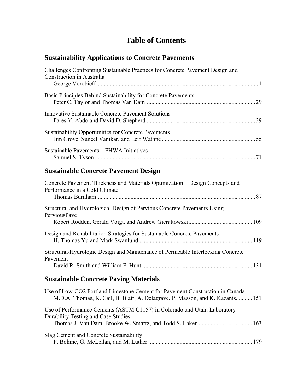## **Table of Contents**

#### **Sustainability Applications to Concrete Pavements**

| Challenges Confronting Sustainable Practices for Concrete Pavement Design and<br>Construction in Australia |    |
|------------------------------------------------------------------------------------------------------------|----|
| Basic Principles Behind Sustainability for Concrete Pavements                                              | 29 |
| <b>Innovative Sustainable Concrete Pavement Solutions</b>                                                  |    |
| <b>Sustainability Opportunities for Concrete Pavements</b>                                                 |    |
| Sustainable Pavements—FHWA Initiatives                                                                     |    |

### **Sustainable Concrete Pavement Design**

| Concrete Pavement Thickness and Materials Optimization—Design Concepts and<br>Performance in a Cold Climate |  |
|-------------------------------------------------------------------------------------------------------------|--|
| Structural and Hydrological Design of Pervious Concrete Pavements Using<br><b>PerviousPave</b>              |  |
| Design and Rehabilitation Strategies for Sustainable Concrete Pavements                                     |  |
| Structural/Hydrologic Design and Maintenance of Permeable Interlocking Concrete<br>Pavement                 |  |

### **Sustainable Concrete Paving Materials**

| Use of Low-CO2 Portland Limestone Cement for Pavement Construction in Canada<br>M.D.A. Thomas, K. Cail, B. Blair, A. Delagrave, P. Masson, and K. Kazanis 151 |     |
|---------------------------------------------------------------------------------------------------------------------------------------------------------------|-----|
| Use of Performance Cements (ASTM C1157) in Colorado and Utah: Laboratory<br>Durability Testing and Case Studies                                               |     |
|                                                                                                                                                               |     |
|                                                                                                                                                               |     |
| Slag Cement and Concrete Sustainability                                                                                                                       |     |
|                                                                                                                                                               | 179 |
|                                                                                                                                                               |     |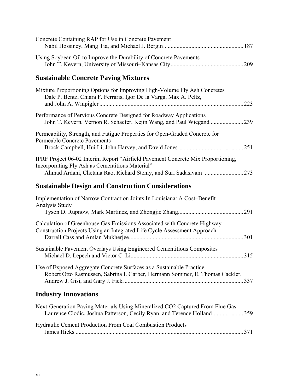| Concrete Containing RAP for Use in Concrete Pavement                                                                                                    |      |
|---------------------------------------------------------------------------------------------------------------------------------------------------------|------|
| Using Soybean Oil to Improve the Durability of Concrete Pavements                                                                                       |      |
| <b>Sustainable Concrete Paving Mixtures</b>                                                                                                             |      |
| Mixture Proportioning Options for Improving High-Volume Fly Ash Concretes<br>Dale P. Bentz, Chiara F. Ferraris, Igor De la Varga, Max A. Peltz,         | 223  |
| Performance of Pervious Concrete Designed for Roadway Applications                                                                                      |      |
| Permeability, Strength, and Fatigue Properties for Open-Graded Concrete for<br><b>Permeable Concrete Pavements</b>                                      | .251 |
| IPRF Project 06-02 Interim Report "Airfield Pavement Concrete Mix Proportioning,<br>Incorporating Fly Ash as Cementitious Material"                     |      |
| <b>Sustainable Design and Construction Considerations</b>                                                                                               |      |
| Implementation of Narrow Contraction Joints In Louisiana: A Cost-Benefit<br>Analysis Study                                                              |      |
| Calculation of Greenhouse Gas Emissions Associated with Concrete Highway<br>Construction Projects Using an Integrated Life Cycle Assessment Approach    |      |
| Sustainable Pavement Overlays Using Engineered Cementitious Composites                                                                                  |      |
| Use of Exposed Aggregate Concrete Surfaces as a Sustainable Practice<br>Robert Otto Rasmussen, Sabrina I. Garber, Hermann Sommer, E. Thomas Cackler,    |      |
| <b>Industry Innovations</b>                                                                                                                             |      |
| Next-Generation Paving Materials Using Mineralized CO2 Captured From Flue Gas<br>Laurence Clodic, Joshua Patterson, Cecily Ryan, and Terence Holland359 |      |

| <b>Hydraulic Cement Production From Coal Combustion Products</b> |
|------------------------------------------------------------------|
|                                                                  |